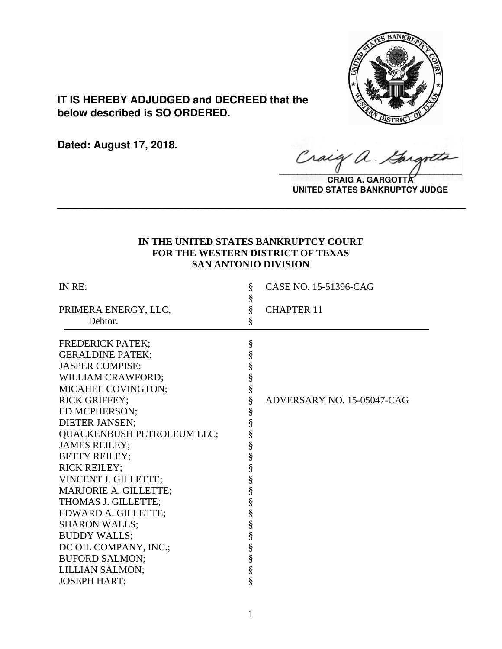

**IT IS HEREBY ADJUDGED and DECREED that the below described is SO ORDERED.**

**Dated: August 17, 2018.**

Craig a.

**CRAIG A. GARGOTT UNITED STATES BANKRUPTCY JUDGE**

# **IN THE UNITED STATES BANKRUPTCY COURT FOR THE WESTERN DISTRICT OF TEXAS SAN ANTONIO DIVISION**

**\_\_\_\_\_\_\_\_\_\_\_\_\_\_\_\_\_\_\_\_\_\_\_\_\_\_\_\_\_\_\_\_\_\_\_\_\_\_\_\_\_\_\_\_\_\_\_\_\_\_\_\_\_\_\_\_\_\_\_\_\_\_\_\_**

| IN RE:                       | ş<br>§                                   | CASE NO. 15-51396-CAG      |
|------------------------------|------------------------------------------|----------------------------|
| PRIMERA ENERGY, LLC,         | $\S$                                     | <b>CHAPTER 11</b>          |
| Debtor.                      | §                                        |                            |
| <b>FREDERICK PATEK;</b>      | §                                        |                            |
| <b>GERALDINE PATEK;</b>      | §                                        |                            |
| <b>JASPER COMPISE;</b>       | $\S$                                     |                            |
| WILLIAM CRAWFORD;            | $\S$                                     |                            |
| MICAHEL COVINGTON;           | §                                        |                            |
| <b>RICK GRIFFEY;</b>         | §                                        | ADVERSARY NO. 15-05047-CAG |
| ED MCPHERSON;                |                                          |                            |
| <b>DIETER JANSEN;</b>        | §<br>§                                   |                            |
| QUACKENBUSH PETROLEUM LLC;   | §                                        |                            |
| <b>JAMES REILEY;</b>         |                                          |                            |
| <b>BETTY REILEY;</b>         |                                          |                            |
| <b>RICK REILEY;</b>          |                                          |                            |
| VINCENT J. GILLETTE;         |                                          |                            |
| <b>MARJORIE A. GILLETTE;</b> |                                          |                            |
| THOMAS J. GILLETTE;          |                                          |                            |
| EDWARD A. GILLETTE;          |                                          |                            |
| <b>SHARON WALLS;</b>         |                                          |                            |
| <b>BUDDY WALLS;</b>          |                                          |                            |
| DC OIL COMPANY, INC.;        |                                          |                            |
| <b>BUFORD SALMON;</b>        |                                          |                            |
| <b>LILLIAN SALMON;</b>       | e en co en co en co en co en co en co en |                            |
| <b>JOSEPH HART;</b>          | §                                        |                            |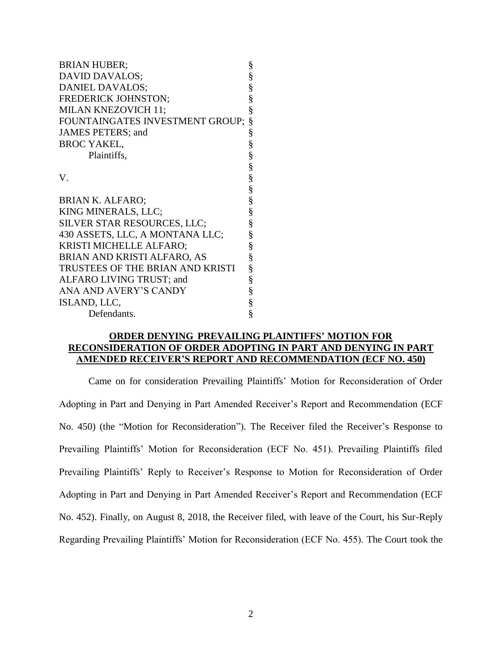| <b>BRIAN HUBER;</b>              | §                             |
|----------------------------------|-------------------------------|
| DAVID DAVALOS;                   |                               |
| DANIEL DAVALOS;                  |                               |
| FREDERICK JOHNSTON;              |                               |
| MILAN KNEZOVICH 11;              |                               |
| FOUNTAINGATES INVESTMENT GROUP;  | §                             |
| JAMES PETERS; and                |                               |
| <b>BROC YAKEL,</b>               | w w w w w w w w w w w w w w w |
| Plaintiffs,                      |                               |
|                                  |                               |
| V.                               |                               |
|                                  |                               |
| <b>BRIAN K. ALFARO;</b>          |                               |
| KING MINERALS, LLC;              |                               |
| SILVER STAR RESOURCES, LLC;      |                               |
| 430 ASSETS, LLC, A MONTANA LLC;  |                               |
| KRISTI MICHELLE ALFARO;          |                               |
| BRIAN AND KRISTI ALFARO, AS      |                               |
| TRUSTEES OF THE BRIAN AND KRISTI |                               |
| ALFARO LIVING TRUST; and         |                               |
| ANA AND AVERY'S CANDY            |                               |
| ISLAND, LLC,                     | §<br>§                        |
| Defendants.                      | §                             |

### **ORDER DENYING PREVAILING PLAINTIFFS' MOTION FOR RECONSIDERATION OF ORDER ADOPTING IN PART AND DENYING IN PART AMENDED RECEIVER'S REPORT AND RECOMMENDATION (ECF NO. 450)**

Came on for consideration Prevailing Plaintiffs' Motion for Reconsideration of Order Adopting in Part and Denying in Part Amended Receiver's Report and Recommendation (ECF No. 450) (the "Motion for Reconsideration"). The Receiver filed the Receiver's Response to Prevailing Plaintiffs' Motion for Reconsideration (ECF No. 451). Prevailing Plaintiffs filed Prevailing Plaintiffs' Reply to Receiver's Response to Motion for Reconsideration of Order Adopting in Part and Denying in Part Amended Receiver's Report and Recommendation (ECF No. 452). Finally, on August 8, 2018, the Receiver filed, with leave of the Court, his Sur-Reply Regarding Prevailing Plaintiffs' Motion for Reconsideration (ECF No. 455). The Court took the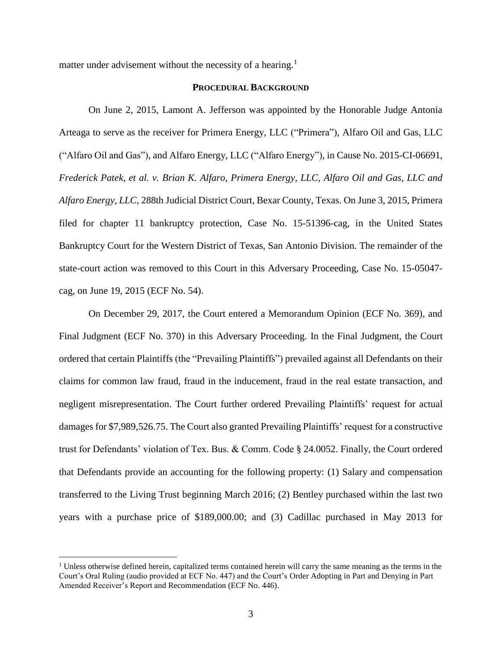matter under advisement without the necessity of a hearing.<sup>1</sup>

#### **PROCEDURAL BACKGROUND**

On June 2, 2015, Lamont A. Jefferson was appointed by the Honorable Judge Antonia Arteaga to serve as the receiver for Primera Energy, LLC ("Primera"), Alfaro Oil and Gas, LLC ("Alfaro Oil and Gas"), and Alfaro Energy, LLC ("Alfaro Energy"), in Cause No. 2015-CI-06691, *Frederick Patek, et al. v. Brian K. Alfaro, Primera Energy, LLC, Alfaro Oil and Gas, LLC and Alfaro Energy*, *LLC*, 288th Judicial District Court, Bexar County, Texas. On June 3, 2015, Primera filed for chapter 11 bankruptcy protection, Case No. 15-51396-cag, in the United States Bankruptcy Court for the Western District of Texas, San Antonio Division. The remainder of the state-court action was removed to this Court in this Adversary Proceeding, Case No. 15-05047 cag, on June 19, 2015 (ECF No. 54).

On December 29, 2017, the Court entered a Memorandum Opinion (ECF No. 369), and Final Judgment (ECF No. 370) in this Adversary Proceeding. In the Final Judgment, the Court ordered that certain Plaintiffs (the "Prevailing Plaintiffs") prevailed against all Defendants on their claims for common law fraud, fraud in the inducement, fraud in the real estate transaction, and negligent misrepresentation. The Court further ordered Prevailing Plaintiffs' request for actual damages for \$7,989,526.75. The Court also granted Prevailing Plaintiffs' request for a constructive trust for Defendants' violation of Tex. Bus. & Comm. Code § 24.0052. Finally, the Court ordered that Defendants provide an accounting for the following property: (1) Salary and compensation transferred to the Living Trust beginning March 2016; (2) Bentley purchased within the last two years with a purchase price of \$189,000.00; and (3) Cadillac purchased in May 2013 for

 $1$  Unless otherwise defined herein, capitalized terms contained herein will carry the same meaning as the terms in the Court's Oral Ruling (audio provided at ECF No. 447) and the Court's Order Adopting in Part and Denying in Part Amended Receiver's Report and Recommendation (ECF No. 446).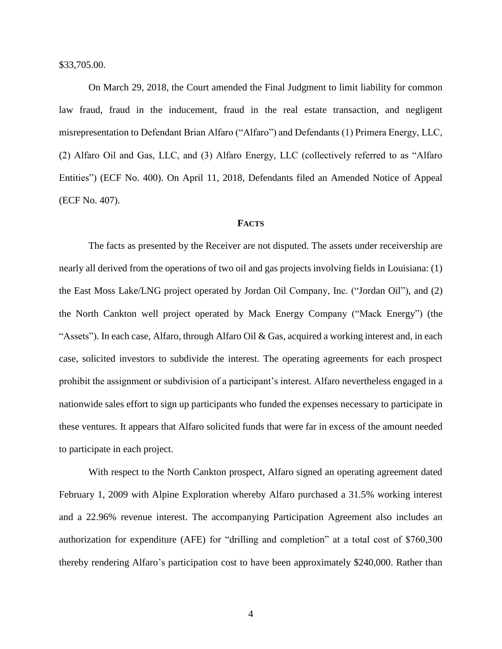\$33,705.00.

On March 29, 2018, the Court amended the Final Judgment to limit liability for common law fraud, fraud in the inducement, fraud in the real estate transaction, and negligent misrepresentation to Defendant Brian Alfaro ("Alfaro") and Defendants (1) Primera Energy, LLC, (2) Alfaro Oil and Gas, LLC, and (3) Alfaro Energy, LLC (collectively referred to as "Alfaro Entities") (ECF No. 400). On April 11, 2018, Defendants filed an Amended Notice of Appeal (ECF No. 407).

#### **FACTS**

The facts as presented by the Receiver are not disputed. The assets under receivership are nearly all derived from the operations of two oil and gas projects involving fields in Louisiana: (1) the East Moss Lake/LNG project operated by Jordan Oil Company, Inc. ("Jordan Oil"), and (2) the North Cankton well project operated by Mack Energy Company ("Mack Energy") (the "Assets"). In each case, Alfaro, through Alfaro Oil & Gas, acquired a working interest and, in each case, solicited investors to subdivide the interest. The operating agreements for each prospect prohibit the assignment or subdivision of a participant's interest. Alfaro nevertheless engaged in a nationwide sales effort to sign up participants who funded the expenses necessary to participate in these ventures. It appears that Alfaro solicited funds that were far in excess of the amount needed to participate in each project.

With respect to the North Cankton prospect, Alfaro signed an operating agreement dated February 1, 2009 with Alpine Exploration whereby Alfaro purchased a 31.5% working interest and a 22.96% revenue interest. The accompanying Participation Agreement also includes an authorization for expenditure (AFE) for "drilling and completion" at a total cost of \$760,300 thereby rendering Alfaro's participation cost to have been approximately \$240,000. Rather than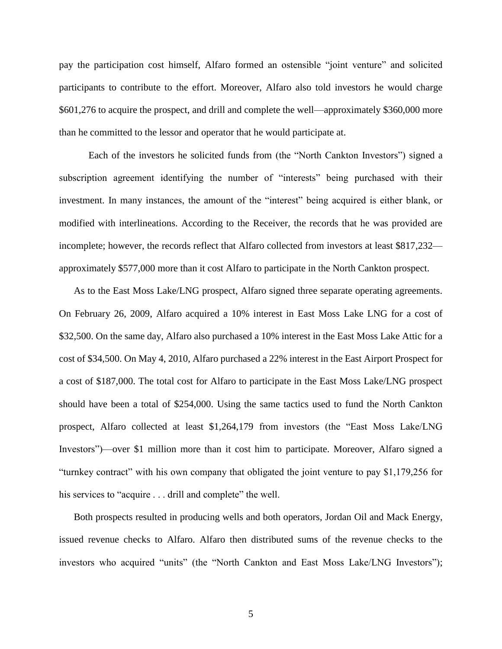pay the participation cost himself, Alfaro formed an ostensible "joint venture" and solicited participants to contribute to the effort. Moreover, Alfaro also told investors he would charge \$601,276 to acquire the prospect, and drill and complete the well—approximately \$360,000 more than he committed to the lessor and operator that he would participate at.

Each of the investors he solicited funds from (the "North Cankton Investors") signed a subscription agreement identifying the number of "interests" being purchased with their investment. In many instances, the amount of the "interest" being acquired is either blank, or modified with interlineations. According to the Receiver, the records that he was provided are incomplete; however, the records reflect that Alfaro collected from investors at least \$817,232 approximately \$577,000 more than it cost Alfaro to participate in the North Cankton prospect.

As to the East Moss Lake/LNG prospect, Alfaro signed three separate operating agreements. On February 26, 2009, Alfaro acquired a 10% interest in East Moss Lake LNG for a cost of \$32,500. On the same day, Alfaro also purchased a 10% interest in the East Moss Lake Attic for a cost of \$34,500. On May 4, 2010, Alfaro purchased a 22% interest in the East Airport Prospect for a cost of \$187,000. The total cost for Alfaro to participate in the East Moss Lake/LNG prospect should have been a total of \$254,000. Using the same tactics used to fund the North Cankton prospect, Alfaro collected at least \$1,264,179 from investors (the "East Moss Lake/LNG Investors")—over \$1 million more than it cost him to participate. Moreover, Alfaro signed a "turnkey contract" with his own company that obligated the joint venture to pay \$1,179,256 for his services to "acquire . . . drill and complete" the well.

Both prospects resulted in producing wells and both operators, Jordan Oil and Mack Energy, issued revenue checks to Alfaro. Alfaro then distributed sums of the revenue checks to the investors who acquired "units" (the "North Cankton and East Moss Lake/LNG Investors");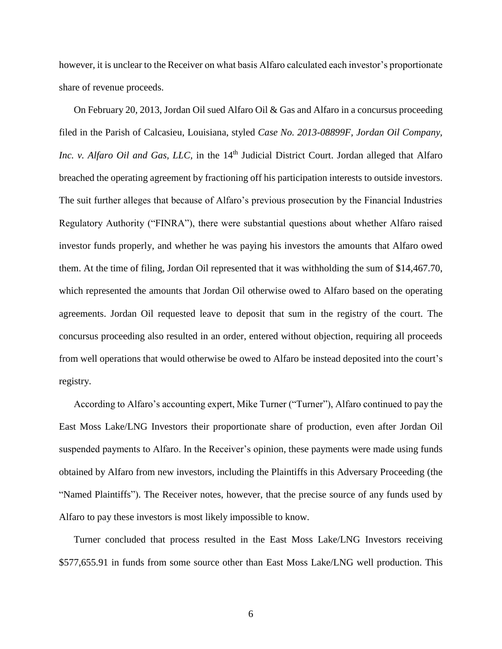however, it is unclear to the Receiver on what basis Alfaro calculated each investor's proportionate share of revenue proceeds.

On February 20, 2013, Jordan Oil sued Alfaro Oil & Gas and Alfaro in a concursus proceeding filed in the Parish of Calcasieu, Louisiana, styled *Case No. 2013-08899F, Jordan Oil Company, Inc. v. Alfaro Oil and Gas, LLC,* in the 14<sup>th</sup> Judicial District Court. Jordan alleged that Alfaro breached the operating agreement by fractioning off his participation interests to outside investors. The suit further alleges that because of Alfaro's previous prosecution by the Financial Industries Regulatory Authority ("FINRA"), there were substantial questions about whether Alfaro raised investor funds properly, and whether he was paying his investors the amounts that Alfaro owed them. At the time of filing, Jordan Oil represented that it was withholding the sum of \$14,467.70, which represented the amounts that Jordan Oil otherwise owed to Alfaro based on the operating agreements. Jordan Oil requested leave to deposit that sum in the registry of the court. The concursus proceeding also resulted in an order, entered without objection, requiring all proceeds from well operations that would otherwise be owed to Alfaro be instead deposited into the court's registry.

According to Alfaro's accounting expert, Mike Turner ("Turner"), Alfaro continued to pay the East Moss Lake/LNG Investors their proportionate share of production, even after Jordan Oil suspended payments to Alfaro. In the Receiver's opinion, these payments were made using funds obtained by Alfaro from new investors, including the Plaintiffs in this Adversary Proceeding (the "Named Plaintiffs"). The Receiver notes, however, that the precise source of any funds used by Alfaro to pay these investors is most likely impossible to know.

Turner concluded that process resulted in the East Moss Lake/LNG Investors receiving \$577,655.91 in funds from some source other than East Moss Lake/LNG well production. This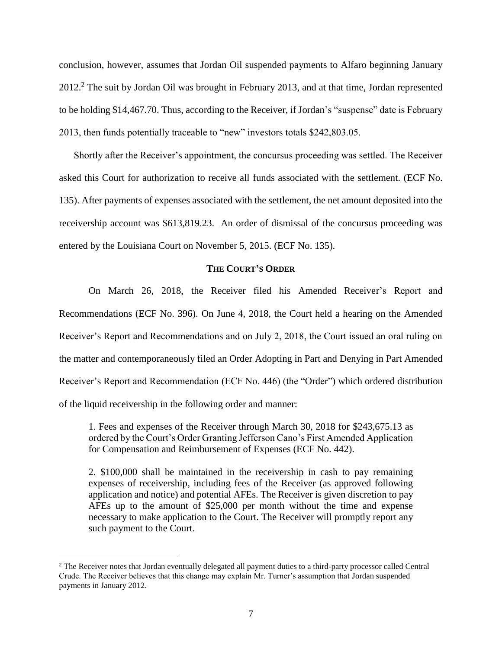conclusion, however, assumes that Jordan Oil suspended payments to Alfaro beginning January 2012.<sup>2</sup> The suit by Jordan Oil was brought in February 2013, and at that time, Jordan represented to be holding \$14,467.70. Thus, according to the Receiver, if Jordan's "suspense" date is February 2013, then funds potentially traceable to "new" investors totals \$242,803.05.

Shortly after the Receiver's appointment, the concursus proceeding was settled. The Receiver asked this Court for authorization to receive all funds associated with the settlement. (ECF No. 135). After payments of expenses associated with the settlement, the net amount deposited into the receivership account was \$613,819.23. An order of dismissal of the concursus proceeding was entered by the Louisiana Court on November 5, 2015. (ECF No. 135).

#### **THE COURT'S ORDER**

On March 26, 2018, the Receiver filed his Amended Receiver's Report and Recommendations (ECF No. 396). On June 4, 2018, the Court held a hearing on the Amended Receiver's Report and Recommendations and on July 2, 2018, the Court issued an oral ruling on the matter and contemporaneously filed an Order Adopting in Part and Denying in Part Amended Receiver's Report and Recommendation (ECF No. 446) (the "Order") which ordered distribution of the liquid receivership in the following order and manner:

1. Fees and expenses of the Receiver through March 30, 2018 for \$243,675.13 as ordered by the Court's Order Granting Jefferson Cano's First Amended Application for Compensation and Reimbursement of Expenses (ECF No. 442).

2. \$100,000 shall be maintained in the receivership in cash to pay remaining expenses of receivership, including fees of the Receiver (as approved following application and notice) and potential AFEs. The Receiver is given discretion to pay AFEs up to the amount of \$25,000 per month without the time and expense necessary to make application to the Court. The Receiver will promptly report any such payment to the Court.

<sup>&</sup>lt;sup>2</sup> The Receiver notes that Jordan eventually delegated all payment duties to a third-party processor called Central Crude. The Receiver believes that this change may explain Mr. Turner's assumption that Jordan suspended payments in January 2012.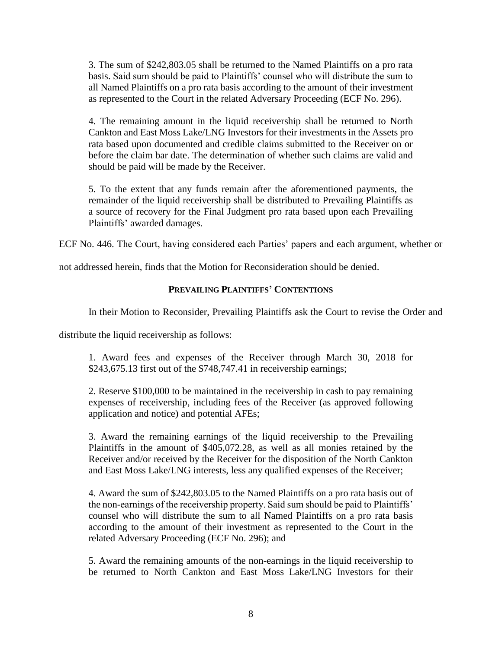3. The sum of \$242,803.05 shall be returned to the Named Plaintiffs on a pro rata basis. Said sum should be paid to Plaintiffs' counsel who will distribute the sum to all Named Plaintiffs on a pro rata basis according to the amount of their investment as represented to the Court in the related Adversary Proceeding (ECF No. 296).

4. The remaining amount in the liquid receivership shall be returned to North Cankton and East Moss Lake/LNG Investors for their investments in the Assets pro rata based upon documented and credible claims submitted to the Receiver on or before the claim bar date. The determination of whether such claims are valid and should be paid will be made by the Receiver.

5. To the extent that any funds remain after the aforementioned payments, the remainder of the liquid receivership shall be distributed to Prevailing Plaintiffs as a source of recovery for the Final Judgment pro rata based upon each Prevailing Plaintiffs' awarded damages.

ECF No. 446. The Court, having considered each Parties' papers and each argument, whether or

not addressed herein, finds that the Motion for Reconsideration should be denied.

## **PREVAILING PLAINTIFFS' CONTENTIONS**

In their Motion to Reconsider, Prevailing Plaintiffs ask the Court to revise the Order and

distribute the liquid receivership as follows:

1. Award fees and expenses of the Receiver through March 30, 2018 for \$243,675.13 first out of the \$748,747.41 in receivership earnings;

2. Reserve \$100,000 to be maintained in the receivership in cash to pay remaining expenses of receivership, including fees of the Receiver (as approved following application and notice) and potential AFEs;

3. Award the remaining earnings of the liquid receivership to the Prevailing Plaintiffs in the amount of \$405,072.28, as well as all monies retained by the Receiver and/or received by the Receiver for the disposition of the North Cankton and East Moss Lake/LNG interests, less any qualified expenses of the Receiver;

4. Award the sum of \$242,803.05 to the Named Plaintiffs on a pro rata basis out of the non-earnings of the receivership property. Said sum should be paid to Plaintiffs' counsel who will distribute the sum to all Named Plaintiffs on a pro rata basis according to the amount of their investment as represented to the Court in the related Adversary Proceeding (ECF No. 296); and

5. Award the remaining amounts of the non-earnings in the liquid receivership to be returned to North Cankton and East Moss Lake/LNG Investors for their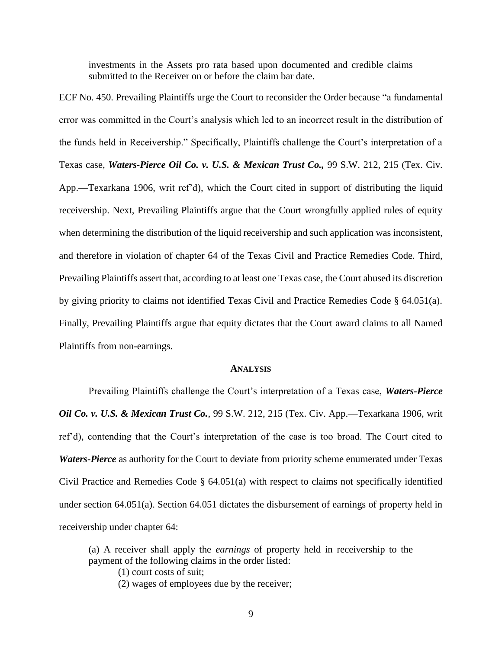investments in the Assets pro rata based upon documented and credible claims submitted to the Receiver on or before the claim bar date.

ECF No. 450. Prevailing Plaintiffs urge the Court to reconsider the Order because "a fundamental error was committed in the Court's analysis which led to an incorrect result in the distribution of the funds held in Receivership." Specifically, Plaintiffs challenge the Court's interpretation of a Texas case, *Waters-Pierce Oil Co. v. U.S. & Mexican Trust Co.,* 99 S.W. 212, 215 (Tex. Civ. App.—Texarkana 1906, writ ref'd), which the Court cited in support of distributing the liquid receivership. Next, Prevailing Plaintiffs argue that the Court wrongfully applied rules of equity when determining the distribution of the liquid receivership and such application was inconsistent, and therefore in violation of chapter 64 of the Texas Civil and Practice Remedies Code. Third, Prevailing Plaintiffs assert that, according to at least one Texas case, the Court abused its discretion by giving priority to claims not identified Texas Civil and Practice Remedies Code § 64.051(a). Finally, Prevailing Plaintiffs argue that equity dictates that the Court award claims to all Named Plaintiffs from non-earnings.

#### **ANALYSIS**

Prevailing Plaintiffs challenge the Court's interpretation of a Texas case, *Waters-Pierce Oil Co. v. U.S. & Mexican Trust Co.*, 99 S.W. 212, 215 (Tex. Civ. App.—Texarkana 1906, writ ref'd), contending that the Court's interpretation of the case is too broad. The Court cited to *Waters-Pierce* as authority for the Court to deviate from priority scheme enumerated under Texas Civil Practice and Remedies Code § 64.051(a) with respect to claims not specifically identified under section 64.051(a). Section 64.051 dictates the disbursement of earnings of property held in receivership under chapter 64:

(a) A receiver shall apply the *earnings* of property held in receivership to the payment of the following claims in the order listed:

(1) court costs of suit;

(2) wages of employees due by the receiver;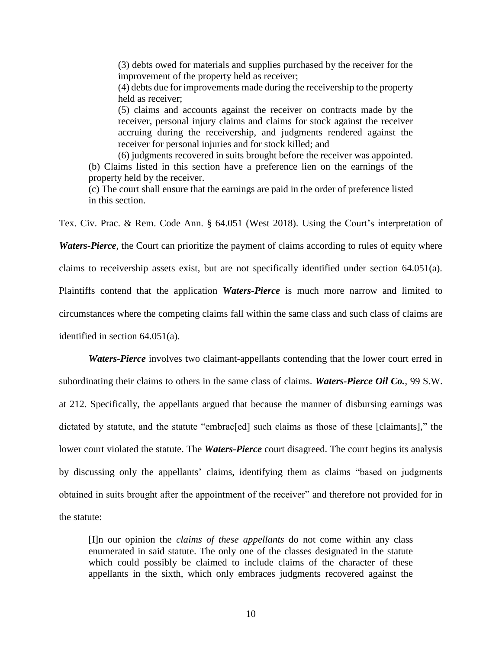(3) debts owed for materials and supplies purchased by the receiver for the improvement of the property held as receiver;

(4) debts due for improvements made during the receivership to the property held as receiver;

(5) claims and accounts against the receiver on contracts made by the receiver, personal injury claims and claims for stock against the receiver accruing during the receivership, and judgments rendered against the receiver for personal injuries and for stock killed; and

(6) judgments recovered in suits brought before the receiver was appointed. (b) Claims listed in this section have a preference lien on the earnings of the property held by the receiver.

(c) The court shall ensure that the earnings are paid in the order of preference listed in this section.

Tex. Civ. Prac. & Rem. Code Ann. § 64.051 (West 2018). Using the Court's interpretation of

*Waters-Pierce*, the Court can prioritize the payment of claims according to rules of equity where

claims to receivership assets exist, but are not specifically identified under section 64.051(a).

Plaintiffs contend that the application *Waters-Pierce* is much more narrow and limited to

circumstances where the competing claims fall within the same class and such class of claims are

identified in section 64.051(a).

*Waters-Pierce* involves two claimant-appellants contending that the lower court erred in subordinating their claims to others in the same class of claims. *Waters-Pierce Oil Co.*, 99 S.W. at 212. Specifically, the appellants argued that because the manner of disbursing earnings was dictated by statute, and the statute "embrac[ed] such claims as those of these [claimants]," the lower court violated the statute. The *Waters-Pierce* court disagreed. The court begins its analysis by discussing only the appellants' claims, identifying them as claims "based on judgments obtained in suits brought after the appointment of the receiver" and therefore not provided for in the statute:

[I]n our opinion the *claims of these appellants* do not come within any class enumerated in said statute. The only one of the classes designated in the statute which could possibly be claimed to include claims of the character of these appellants in the sixth, which only embraces judgments recovered against the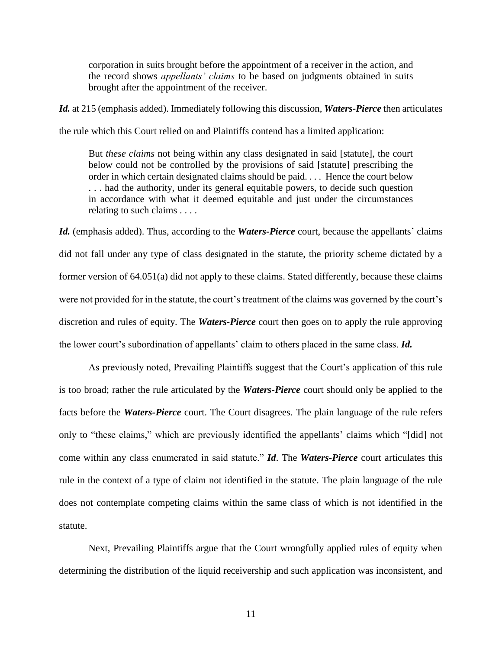corporation in suits brought before the appointment of a receiver in the action, and the record shows *appellants' claims* to be based on judgments obtained in suits brought after the appointment of the receiver.

*Id.* at 215 (emphasis added). Immediately following this discussion, *Waters-Pierce* then articulates the rule which this Court relied on and Plaintiffs contend has a limited application:

But *these claims* not being within any class designated in said [statute], the court below could not be controlled by the provisions of said [statute] prescribing the order in which certain designated claims should be paid. . . . Hence the court below . . . had the authority, under its general equitable powers, to decide such question in accordance with what it deemed equitable and just under the circumstances relating to such claims . . . .

*Id.* (emphasis added). Thus, according to the *Waters-Pierce* court, because the appellants' claims did not fall under any type of class designated in the statute, the priority scheme dictated by a former version of 64.051(a) did not apply to these claims. Stated differently, because these claims were not provided for in the statute, the court's treatment of the claims was governed by the court's discretion and rules of equity. The *Waters-Pierce* court then goes on to apply the rule approving the lower court's subordination of appellants' claim to others placed in the same class. *Id.*

As previously noted, Prevailing Plaintiffs suggest that the Court's application of this rule is too broad; rather the rule articulated by the *Waters-Pierce* court should only be applied to the facts before the *Waters-Pierce* court. The Court disagrees. The plain language of the rule refers only to "these claims," which are previously identified the appellants' claims which "[did] not come within any class enumerated in said statute." *Id*. The *Waters-Pierce* court articulates this rule in the context of a type of claim not identified in the statute. The plain language of the rule does not contemplate competing claims within the same class of which is not identified in the statute.

Next, Prevailing Plaintiffs argue that the Court wrongfully applied rules of equity when determining the distribution of the liquid receivership and such application was inconsistent, and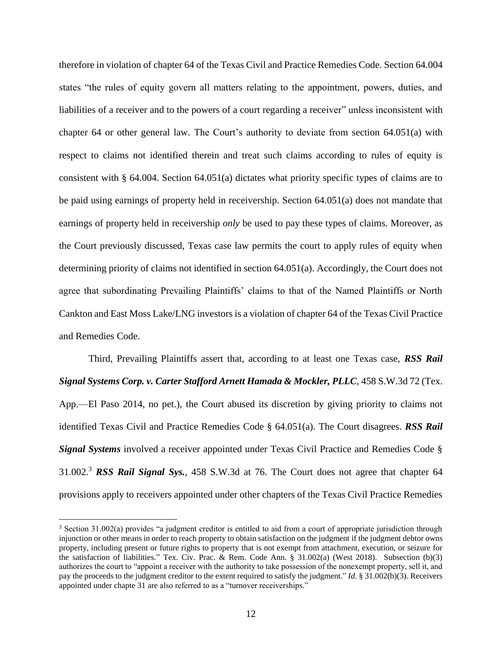therefore in violation of chapter 64 of the Texas Civil and Practice Remedies Code. Section 64.004 states "the rules of equity govern all matters relating to the appointment, powers, duties, and liabilities of a receiver and to the powers of a court regarding a receiver" unless inconsistent with chapter 64 or other general law. The Court's authority to deviate from section 64.051(a) with respect to claims not identified therein and treat such claims according to rules of equity is consistent with § 64.004. Section 64.051(a) dictates what priority specific types of claims are to be paid using earnings of property held in receivership. Section 64.051(a) does not mandate that earnings of property held in receivership *only* be used to pay these types of claims. Moreover, as the Court previously discussed, Texas case law permits the court to apply rules of equity when determining priority of claims not identified in section 64.051(a). Accordingly, the Court does not agree that subordinating Prevailing Plaintiffs' claims to that of the Named Plaintiffs or North Cankton and East Moss Lake/LNG investors is a violation of chapter 64 of the Texas Civil Practice and Remedies Code.

Third, Prevailing Plaintiffs assert that, according to at least one Texas case, *RSS Rail Signal Systems Corp. v. Carter Stafford Arnett Hamada & Mockler, PLLC*, 458 S.W.3d 72 (Tex. App.—El Paso 2014, no pet.), the Court abused its discretion by giving priority to claims not identified Texas Civil and Practice Remedies Code § 64.051(a). The Court disagrees. *RSS Rail Signal Systems* involved a receiver appointed under Texas Civil Practice and Remedies Code § 31.002.<sup>3</sup> *RSS Rail Signal Sys.*, 458 S.W.3d at 76. The Court does not agree that chapter 64 provisions apply to receivers appointed under other chapters of the Texas Civil Practice Remedies

<sup>&</sup>lt;sup>3</sup> Section 31.002(a) provides "a judgment creditor is entitled to aid from a court of appropriate jurisdiction through injunction or other means in order to reach property to obtain satisfaction on the judgment if the judgment debtor owns property, including present or future rights to property that is not exempt from attachment, execution, or seizure for the satisfaction of liabilities." Tex. Civ. Prac. & Rem. Code Ann. § 31.002(a) (West 2018). Subsection (b)(3) authorizes the court to "appoint a receiver with the authority to take possession of the nonexempt property, sell it, and pay the proceeds to the judgment creditor to the extent required to satisfy the judgment." *Id.* § 31.002(b)(3). Receivers appointed under chapte 31 are also referred to as a "turnover receiverships."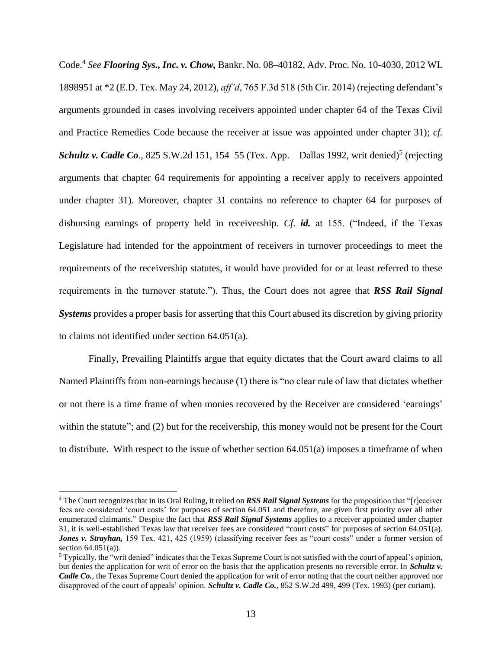Code.<sup>4</sup> *See Flooring Sys., Inc. v. Chow,* Bankr. No. 08–40182, Adv. Proc. No. 10-4030, 2012 WL 1898951 at \*2 (E.D. Tex. May 24, 2012), *aff'd*, 765 F.3d 518 (5th Cir. 2014) (rejecting defendant's arguments grounded in cases involving receivers appointed under chapter 64 of the Texas Civil and Practice Remedies Code because the receiver at issue was appointed under chapter 31); *cf. Schultz v. Cadle Co.*, 825 S.W.2d 151, 154–55 (Tex. App.—Dallas 1992, writ denied)<sup>5</sup> (rejecting arguments that chapter 64 requirements for appointing a receiver apply to receivers appointed under chapter 31). Moreover, chapter 31 contains no reference to chapter 64 for purposes of disbursing earnings of property held in receivership. *Cf. id.* at 155. ("Indeed, if the Texas Legislature had intended for the appointment of receivers in turnover proceedings to meet the requirements of the receivership statutes, it would have provided for or at least referred to these requirements in the turnover statute."). Thus, the Court does not agree that *RSS Rail Signal Systems* provides a proper basis for asserting that this Court abused its discretion by giving priority to claims not identified under section 64.051(a).

Finally, Prevailing Plaintiffs argue that equity dictates that the Court award claims to all Named Plaintiffs from non-earnings because (1) there is "no clear rule of law that dictates whether or not there is a time frame of when monies recovered by the Receiver are considered 'earnings' within the statute"; and (2) but for the receivership, this money would not be present for the Court to distribute. With respect to the issue of whether section 64.051(a) imposes a timeframe of when

<sup>4</sup> The Court recognizes that in its Oral Ruling, it relied on *RSS Rail Signal Systems* for the proposition that "[r]eceiver fees are considered 'court costs' for purposes of section 64.051 and therefore, are given first priority over all other enumerated claimants." Despite the fact that *RSS Rail Signal Systems* applies to a receiver appointed under chapter 31, it is well-established Texas law that receiver fees are considered "court costs" for purposes of section 64.051(a). *Jones v. Strayhan,* 159 Tex. 421, 425 (1959) (classifying receiver fees as "court costs" under a former version of section  $64.051(a)$ ).

 $<sup>5</sup>$  Typically, the "writ denied" indicates that the Texas Supreme Court is not satisfied with the court of appeal's opinion,</sup> but denies the application for writ of error on the basis that the application presents no reversible error. In *Schultz v. Cadle Co.*, the Texas Supreme Court denied the application for writ of error noting that the court neither approved nor disapproved of the court of appeals' opinion. *Schultz v. Cadle Co.*, 852 S.W.2d 499, 499 (Tex. 1993) (per curiam).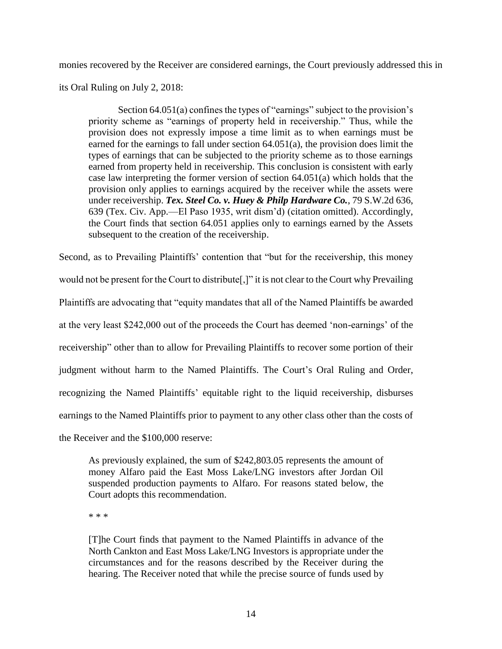monies recovered by the Receiver are considered earnings, the Court previously addressed this in

its Oral Ruling on July 2, 2018:

Section 64.051(a) confines the types of "earnings" subject to the provision's priority scheme as "earnings of property held in receivership." Thus, while the provision does not expressly impose a time limit as to when earnings must be earned for the earnings to fall under section 64.051(a), the provision does limit the types of earnings that can be subjected to the priority scheme as to those earnings earned from property held in receivership. This conclusion is consistent with early case law interpreting the former version of section 64.051(a) which holds that the provision only applies to earnings acquired by the receiver while the assets were under receivership. *Tex. Steel Co. v. Huey & Philp Hardware Co.*, 79 S.W.2d 636, 639 (Tex. Civ. App.—El Paso 1935, writ dism'd) (citation omitted). Accordingly, the Court finds that section 64.051 applies only to earnings earned by the Assets subsequent to the creation of the receivership.

Second, as to Prevailing Plaintiffs' contention that "but for the receivership, this money would not be present for the Court to distribute[,]" it is not clear to the Court why Prevailing Plaintiffs are advocating that "equity mandates that all of the Named Plaintiffs be awarded at the very least \$242,000 out of the proceeds the Court has deemed 'non-earnings' of the receivership" other than to allow for Prevailing Plaintiffs to recover some portion of their judgment without harm to the Named Plaintiffs. The Court's Oral Ruling and Order, recognizing the Named Plaintiffs' equitable right to the liquid receivership, disburses earnings to the Named Plaintiffs prior to payment to any other class other than the costs of the Receiver and the \$100,000 reserve:

As previously explained, the sum of \$242,803.05 represents the amount of

money Alfaro paid the East Moss Lake/LNG investors after Jordan Oil suspended production payments to Alfaro. For reasons stated below, the Court adopts this recommendation.

\* \* \*

[T]he Court finds that payment to the Named Plaintiffs in advance of the North Cankton and East Moss Lake/LNG Investors is appropriate under the circumstances and for the reasons described by the Receiver during the hearing. The Receiver noted that while the precise source of funds used by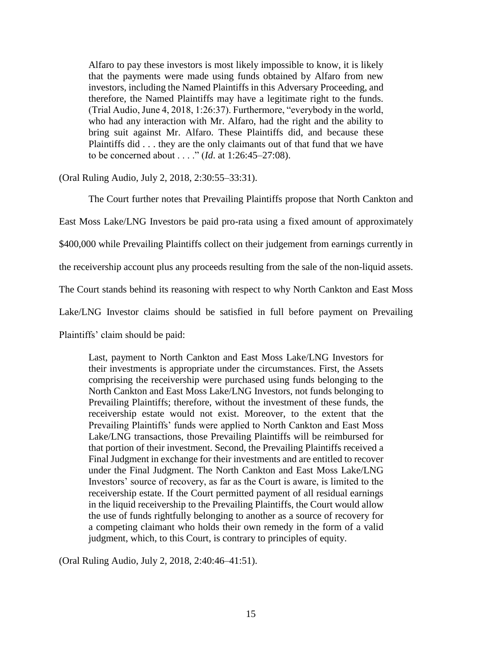Alfaro to pay these investors is most likely impossible to know, it is likely that the payments were made using funds obtained by Alfaro from new investors, including the Named Plaintiffs in this Adversary Proceeding, and therefore, the Named Plaintiffs may have a legitimate right to the funds. (Trial Audio, June 4, 2018, 1:26:37). Furthermore, "everybody in the world, who had any interaction with Mr. Alfaro, had the right and the ability to bring suit against Mr. Alfaro. These Plaintiffs did, and because these Plaintiffs did . . . they are the only claimants out of that fund that we have to be concerned about . . . ." (*Id*. at 1:26:45–27:08).

(Oral Ruling Audio, July 2, 2018, 2:30:55–33:31).

The Court further notes that Prevailing Plaintiffs propose that North Cankton and

East Moss Lake/LNG Investors be paid pro-rata using a fixed amount of approximately

\$400,000 while Prevailing Plaintiffs collect on their judgement from earnings currently in

the receivership account plus any proceeds resulting from the sale of the non-liquid assets.

The Court stands behind its reasoning with respect to why North Cankton and East Moss

Lake/LNG Investor claims should be satisfied in full before payment on Prevailing

Plaintiffs' claim should be paid:

Last, payment to North Cankton and East Moss Lake/LNG Investors for their investments is appropriate under the circumstances. First, the Assets comprising the receivership were purchased using funds belonging to the North Cankton and East Moss Lake/LNG Investors, not funds belonging to Prevailing Plaintiffs; therefore, without the investment of these funds, the receivership estate would not exist. Moreover, to the extent that the Prevailing Plaintiffs' funds were applied to North Cankton and East Moss Lake/LNG transactions, those Prevailing Plaintiffs will be reimbursed for that portion of their investment. Second, the Prevailing Plaintiffs received a Final Judgment in exchange for their investments and are entitled to recover under the Final Judgment. The North Cankton and East Moss Lake/LNG Investors' source of recovery, as far as the Court is aware, is limited to the receivership estate. If the Court permitted payment of all residual earnings in the liquid receivership to the Prevailing Plaintiffs, the Court would allow the use of funds rightfully belonging to another as a source of recovery for a competing claimant who holds their own remedy in the form of a valid judgment, which, to this Court, is contrary to principles of equity.

(Oral Ruling Audio, July 2, 2018, 2:40:46–41:51).